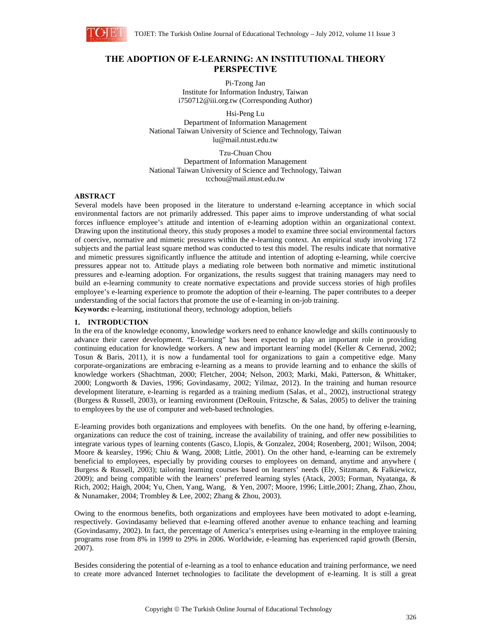

# **THE ADOPTION OF E-LEARNING: AN INSTITUTIONAL THEORY PERSPECTIVE**

Pi-Tzong Jan Institute for Information Industry, Taiwan i750712@iii.org.tw (Corresponding Author)

Hsi-Peng Lu Department of Information Management National Taiwan University of Science and Technology, Taiwan lu@mail.ntust.edu.tw

Tzu-Chuan Chou Department of Information Management National Taiwan University of Science and Technology, Taiwan tcchou@mail.ntust.edu.tw

# **ABSTRACT**

Several models have been proposed in the literature to understand e-learning acceptance in which social environmental factors are not primarily addressed. This paper aims to improve understanding of what social forces influence employee's attitude and intention of e-learning adoption within an organizational context. Drawing upon the institutional theory, this study proposes a model to examine three social environmental factors of coercive, normative and mimetic pressures within the e-learning context. An empirical study involving 172 subjects and the partial least square method was conducted to test this model. The results indicate that normative and mimetic pressures significantly influence the attitude and intention of adopting e-learning, while coercive pressures appear not to. Attitude plays a mediating role between both normative and mimetic institutional pressures and e-learning adoption. For organizations, the results suggest that training managers may need to build an e-learning community to create normative expectations and provide success stories of high profiles employee's e-learning experience to promote the adoption of their e-learning. The paper contributes to a deeper understanding of the social factors that promote the use of e-learning in on-job training. **Keywords:** e-learning, institutional theory, technology adoption, beliefs

# **1. INTRODUCTION**

In the era of the knowledge economy, knowledge workers need to enhance knowledge and skills continuously to advance their career development. "E-learning" has been expected to play an important role in providing continuing education for knowledge workers. A new and important learning model (Keller & Cernerud, 2002; Tosun & Baris, 2011), it is now a fundamental tool for organizations to gain a competitive edge. Many corporate-organizations are embracing e-learning as a means to provide learning and to enhance the skills of knowledge workers (Shachtman, 2000; Fletcher, 2004; Nelson, 2003; Marki, Maki, Patterson, & Whittaker, 2000; Longworth & Davies, 1996; Govindasamy, 2002; Yilmaz, 2012). In the training and human resource development literature, e-learning is regarded as a training medium (Salas, et al., 2002), instructional strategy (Burgess & Russell, 2003), or learning environment (DeRouin, Fritzsche, & Salas, 2005) to deliver the training to employees by the use of computer and web-based technologies.

E-learning provides both organizations and employees with benefits. On the one hand, by offering e-learning, organizations can reduce the cost of training, increase the availability of training, and offer new possibilities to integrate various types of learning contents (Gasco, Llopis, & Gonzalez, 2004; Rosenberg, 2001; Wilson, 2004; Moore & kearsley, 1996; Chiu & Wang, 2008; Little, 2001). On the other hand, e-learning can be extremely beneficial to employees, especially by providing courses to employees on demand, anytime and anywhere ( Burgess & Russell, 2003); tailoring learning courses based on learners' needs (Ely, Sitzmann, & Falkiewicz, 2009); and being compatible with the learners' preferred learning styles (Atack, 2003; Forman, Nyatanga, & Rich, 2002; Haigh, 2004; Yu, Chen, Yang, Wang, & Yen, 2007; Moore, 1996; Little,2001; Zhang, Zhao, Zhou, & Nunamaker, 2004; Trombley & Lee, 2002; Zhang & Zhou, 2003).

Owing to the enormous benefits, both organizations and employees have been motivated to adopt e-learning, respectively. Govindasamy believed that e-learning offered another avenue to enhance teaching and learning (Govindasamy, 2002). In fact, the percentage of America's enterprises using e-learning in the employee training programs rose from 8% in 1999 to 29% in 2006. Worldwide, e-learning has experienced rapid growth (Bersin, 2007).

Besides considering the potential of e-learning as a tool to enhance education and training performance, we need to create more advanced Internet technologies to facilitate the development of e-learning. It is still a great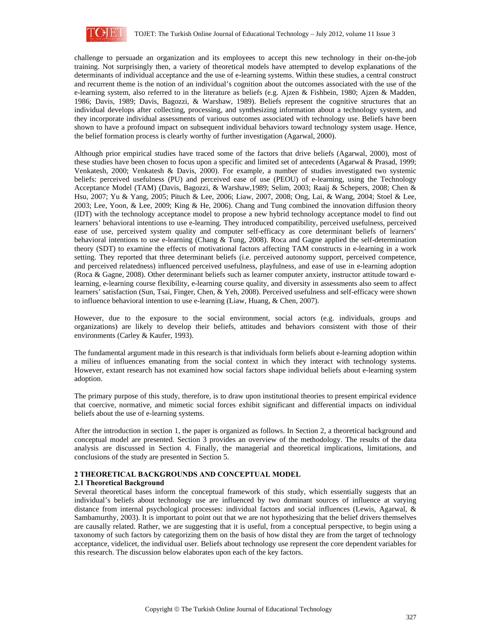

challenge to persuade an organization and its employees to accept this new technology in their on-the-job training. Not surprisingly then, a variety of theoretical models have attempted to develop explanations of the determinants of individual acceptance and the use of e-learning systems. Within these studies, a central construct and recurrent theme is the notion of an individual's cognition about the outcomes associated with the use of the e-learning system, also referred to in the literature as beliefs (e.g. Ajzen & Fishbein, 1980; Ajzen & Madden, 1986; Davis, 1989; Davis, Bagozzi, & Warshaw, 1989). Beliefs represent the cognitive structures that an individual develops after collecting, processing, and synthesizing information about a technology system, and they incorporate individual assessments of various outcomes associated with technology use. Beliefs have been shown to have a profound impact on subsequent individual behaviors toward technology system usage. Hence, the belief formation process is clearly worthy of further investigation (Agarwal, 2000).

Although prior empirical studies have traced some of the factors that drive beliefs (Agarwal, 2000), most of these studies have been chosen to focus upon a specific and limited set of antecedents (Agarwal & Prasad, 1999; Venkatesh, 2000; Venkatesh & Davis, 2000). For example, a number of studies investigated two systemic beliefs: perceived usefulness (PU) and perceived ease of use (PEOU) of e-learning, using the Technology Acceptance Model (TAM) (Davis, Bagozzi, & Warshaw,1989; Selim, 2003; Raaij & Schepers, 2008; Chen & Hsu, 2007; Yu & Yang, 2005; Pituch & Lee, 2006; Liaw, 2007, 2008; Ong, Lai, & Wang, 2004; Stoel & Lee, 2003; Lee, Yoon, & Lee, 2009; King & He, 2006). Chang and Tung combined the innovation diffusion theory (IDT) with the technology acceptance model to propose a new hybrid technology acceptance model to find out learners' behavioral intentions to use e-learning. They introduced compatibility, perceived usefulness, perceived ease of use, perceived system quality and computer self-efficacy as core determinant beliefs of learners' behavioral intentions to use e-learning (Chang & Tung, 2008). Roca and Gagne applied the self-determination theory (SDT) to examine the effects of motivational factors affecting TAM constructs in e-learning in a work setting. They reported that three determinant beliefs (i.e. perceived autonomy support, perceived competence, and perceived relatedness) influenced perceived usefulness, playfulness, and ease of use in e-learning adoption (Roca & Gagne, 2008). Other determinant beliefs such as learner computer anxiety, instructor attitude toward elearning, e-learning course flexibility, e-learning course quality, and diversity in assessments also seem to affect learners' satisfaction (Sun, Tsai, Finger, Chen, & Yeh, 2008). Perceived usefulness and self-efficacy were shown to influence behavioral intention to use e-learning (Liaw, Huang, & Chen, 2007).

However, due to the exposure to the social environment, social actors (e.g. individuals, groups and organizations) are likely to develop their beliefs, attitudes and behaviors consistent with those of their environments (Carley & Kaufer, 1993).

The fundamental argument made in this research is that individuals form beliefs about e-learning adoption within a milieu of influences emanating from the social context in which they interact with technology systems. However, extant research has not examined how social factors shape individual beliefs about e-learning system adoption.

The primary purpose of this study, therefore, is to draw upon institutional theories to present empirical evidence that coercive, normative, and mimetic social forces exhibit significant and differential impacts on individual beliefs about the use of e-learning systems.

After the introduction in section 1, the paper is organized as follows. In Section 2, a theoretical background and conceptual model are presented. Section 3 provides an overview of the methodology. The results of the data analysis are discussed in Section 4. Finally, the managerial and theoretical implications, limitations, and conclusions of the study are presented in Section 5.

# **2 THEORETICAL BACKGROUNDS AND CONCEPTUAL MODEL**

# **2.1 Theoretical Background**

Several theoretical bases inform the conceptual framework of this study, which essentially suggests that an individual's beliefs about technology use are influenced by two dominant sources of influence at varying distance from internal psychological processes: individual factors and social influences (Lewis, Agarwal, & Sambamurthy, 2003). It is important to point out that we are not hypothesizing that the belief drivers themselves are causally related. Rather, we are suggesting that it is useful, from a conceptual perspective, to begin using a taxonomy of such factors by categorizing them on the basis of how distal they are from the target of technology acceptance, videlicet, the individual user. Beliefs about technology use represent the core dependent variables for this research. The discussion below elaborates upon each of the key factors.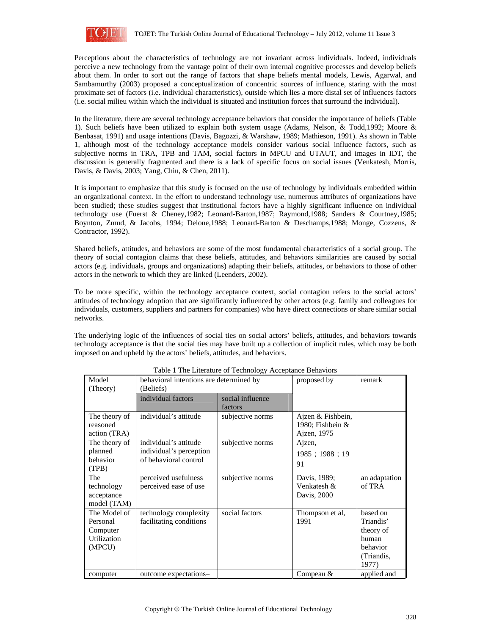

Perceptions about the characteristics of technology are not invariant across individuals. Indeed, individuals perceive a new technology from the vantage point of their own internal cognitive processes and develop beliefs about them. In order to sort out the range of factors that shape beliefs mental models, Lewis, Agarwal, and Sambamurthy (2003) proposed a conceptualization of concentric sources of influence, staring with the most proximate set of factors (i.e. individual characteristics), outside which lies a more distal set of influences factors (i.e. social milieu within which the individual is situated and institution forces that surround the individual).

In the literature, there are several technology acceptance behaviors that consider the importance of beliefs (Table 1). Such beliefs have been utilized to explain both system usage (Adams, Nelson, & Todd,1992; Moore & Benbasat, 1991) and usage intentions (Davis, Bagozzi, & Warshaw, 1989; Mathieson, 1991). As shown in Table 1, although most of the technology acceptance models consider various social influence factors, such as subjective norms in TRA, TPB and TAM, social factors in MPCU and UTAUT, and images in IDT, the discussion is generally fragmented and there is a lack of specific focus on social issues (Venkatesh, Morris, Davis, & Davis, 2003; Yang, Chiu, & Chen, 2011).

It is important to emphasize that this study is focused on the use of technology by individuals embedded within an organizational context. In the effort to understand technology use, numerous attributes of organizations have been studied; these studies suggest that institutional factors have a highly significant influence on individual technology use (Fuerst & Cheney,1982; Leonard-Barton,1987; Raymond,1988; Sanders & Courtney,1985; Boynton, Zmud, & Jacobs, 1994; Delone,1988; Leonard-Barton & Deschamps,1988; Monge, Cozzens, & Contractor, 1992).

Shared beliefs, attitudes, and behaviors are some of the most fundamental characteristics of a social group. The theory of social contagion claims that these beliefs, attitudes, and behaviors similarities are caused by social actors (e.g. individuals, groups and organizations) adapting their beliefs, attitudes, or behaviors to those of other actors in the network to which they are linked (Leenders, 2002).

To be more specific, within the technology acceptance context, social contagion refers to the social actors' attitudes of technology adoption that are significantly influenced by other actors (e.g. family and colleagues for individuals, customers, suppliers and partners for companies) who have direct connections or share similar social networks.

The underlying logic of the influences of social ties on social actors' beliefs, attitudes, and behaviors towards technology acceptance is that the social ties may have built up a collection of implicit rules, which may be both imposed on and upheld by the actors' beliefs, attitudes, and behaviors.

| Model<br>(Theory)                                                    | behavioral intentions are determined by<br>(Beliefs)                      |                             | proposed by                                            | remark                                                                         |
|----------------------------------------------------------------------|---------------------------------------------------------------------------|-----------------------------|--------------------------------------------------------|--------------------------------------------------------------------------------|
|                                                                      | individual factors                                                        | social influence<br>factors |                                                        |                                                                                |
| The theory of<br>reasoned<br>action (TRA)                            | individual's attitude                                                     | subjective norms            | Ajzen & Fishbein,<br>1980; Fishbein $&$<br>Ajzen, 1975 |                                                                                |
| The theory of<br>planned<br>behavior<br>(TPB)                        | individual's attitude<br>individual's perception<br>of behavioral control | subjective norms            | Ajzen,<br>1985; 1988; 19<br>91                         |                                                                                |
| The<br>technology<br>acceptance<br>model (TAM)                       | perceived usefulness<br>perceived ease of use                             | subjective norms            | Davis, 1989;<br>Venkatesh &<br>Davis, 2000             | an adaptation<br>of TRA                                                        |
| The Model of<br>Personal<br>Computer<br><b>Utilization</b><br>(MPCU) | technology complexity<br>facilitating conditions                          | social factors              | Thompson et al,<br>1991                                | based on<br>Triandis'<br>theory of<br>human<br>behavior<br>(Triandis,<br>1977) |
| computer                                                             | outcome expectations-                                                     |                             | Compeau &                                              | applied and                                                                    |

# Table 1 The Literature of Technology Acceptance Behaviors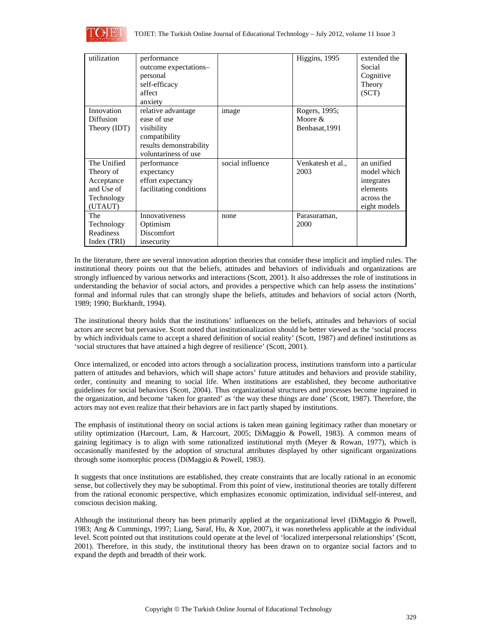

| utilization  | performance<br>outcome expectations-<br>personal<br>self-efficacy<br>affect<br>anxiety |                  | Higgins, 1995     | extended the<br>Social<br>Cognitive<br>Theory<br>(SCT) |
|--------------|----------------------------------------------------------------------------------------|------------------|-------------------|--------------------------------------------------------|
| Innovation   | relative advantage                                                                     | image            | Rogers, 1995;     |                                                        |
| Diffusion    | ease of use                                                                            |                  | Moore $\&$        |                                                        |
| Theory (IDT) | visibility                                                                             |                  | Benbasat, 1991    |                                                        |
|              | compatibility                                                                          |                  |                   |                                                        |
|              | results demonstrability<br>voluntariness of use                                        |                  |                   |                                                        |
| The Unified  | performance                                                                            | social influence | Venkatesh et al., | an unified                                             |
| Theory of    | expectancy                                                                             |                  | 2003              | model which                                            |
| Acceptance   | effort expectancy                                                                      |                  |                   | integrates                                             |
| and Use of   | facilitating conditions                                                                |                  |                   | elements                                               |
| Technology   |                                                                                        |                  |                   | across the                                             |
| (UTAUT)      |                                                                                        |                  |                   | eight models                                           |
| The          | <b>Innovativeness</b>                                                                  | none             | Parasuraman,      |                                                        |
| Technology   | Optimism                                                                               |                  | 2000              |                                                        |
| Readiness    | Discomfort                                                                             |                  |                   |                                                        |
| Index (TRI)  | insecurity                                                                             |                  |                   |                                                        |

In the literature, there are several innovation adoption theories that consider these implicit and implied rules. The institutional theory points out that the beliefs, attitudes and behaviors of individuals and organizations are strongly influenced by various networks and interactions (Scott, 2001). It also addresses the role of institutions in understanding the behavior of social actors, and provides a perspective which can help assess the institutions' formal and informal rules that can strongly shape the beliefs, attitudes and behaviors of social actors (North, 1989; 1990; Burkhardt, 1994).

The institutional theory holds that the institutions' influences on the beliefs, attitudes and behaviors of social actors are secret but pervasive. Scott noted that institutionalization should be better viewed as the 'social process by which individuals came to accept a shared definition of social reality' (Scott, 1987) and defined institutions as 'social structures that have attained a high degree of resilience' (Scott, 2001).

Once internalized, or encoded into actors through a socialization process, institutions transform into a particular pattern of attitudes and behaviors, which will shape actors' future attitudes and behaviors and provide stability, order, continuity and meaning to social life. When institutions are established, they become authoritative guidelines for social behaviors (Scott, 2004). Thus organizational structures and processes become ingrained in the organization, and become 'taken for granted' as 'the way these things are done' (Scott, 1987). Therefore, the actors may not even realize that their behaviors are in fact partly shaped by institutions.

The emphasis of institutional theory on social actions is taken mean gaining legitimacy rather than monetary or utility optimization (Harcourt, Lam, & Harcourt, 2005; DiMaggio & Powell, 1983). A common means of gaining legitimacy is to align with some rationalized institutional myth (Meyer & Rowan, 1977), which is occasionally manifested by the adoption of structural attributes displayed by other significant organizations through some isomorphic process (DiMaggio & Powell, 1983).

It suggests that once institutions are established, they create constraints that are locally rational in an economic sense, but collectively they may be suboptimal. From this point of view, institutional theories are totally different from the rational economic perspective, which emphasizes economic optimization, individual self-interest, and conscious decision making.

Although the institutional theory has been primarily applied at the organizational level (DiMaggio & Powell, 1983; Ang & Cummings, 1997; Liang, Saraf, Hu, & Xue, 2007), it was nonetheless applicable at the individual level. Scott pointed out that institutions could operate at the level of 'localized interpersonal relationships' (Scott, 2001). Therefore, in this study, the institutional theory has been drawn on to organize social factors and to expand the depth and breadth of their work.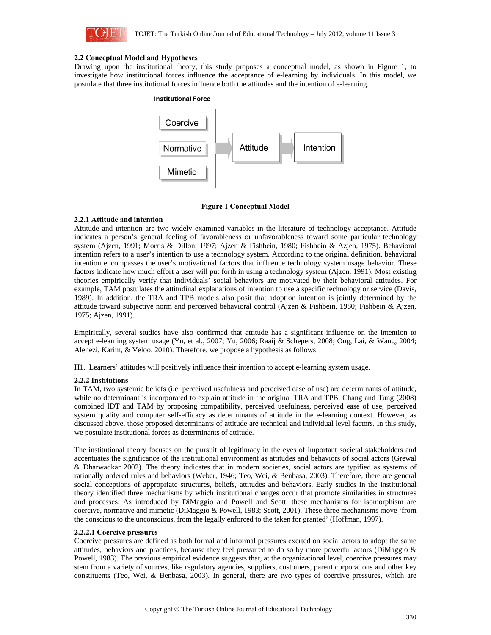

#### **2.2 Conceptual Model and Hypotheses**

Drawing upon the institutional theory, this study proposes a conceptual model, as shown in Figure 1, to investigate how institutional forces influence the acceptance of e-learning by individuals. In this model, we postulate that three institutional forces influence both the attitudes and the intention of e-learning.



### **Figure 1 Conceptual Model**

### **2.2.1 Attitude and intention**

Attitude and intention are two widely examined variables in the literature of technology acceptance. Attitude indicates a person's general feeling of favorableness or unfavorableness toward some particular technology system (Ajzen, 1991; Morris & Dillon, 1997; Ajzen & Fishbein, 1980; Fishbein & Azjen, 1975). Behavioral intention refers to a user's intention to use a technology system. According to the original definition, behavioral intention encompasses the user's motivational factors that influence technology system usage behavior. These factors indicate how much effort a user will put forth in using a technology system (Ajzen, 1991). Most existing theories empirically verify that individuals' social behaviors are motivated by their behavioral attitudes. For example, TAM postulates the attitudinal explanations of intention to use a specific technology or service (Davis, 1989). In addition, the TRA and TPB models also posit that adoption intention is jointly determined by the attitude toward subjective norm and perceived behavioral control (Ajzen & Fishbein, 1980; Fishbein & Ajzen, 1975; Ajzen, 1991).

Empirically, several studies have also confirmed that attitude has a significant influence on the intention to accept e-learning system usage (Yu, et al., 2007; Yu, 2006; Raaij & Schepers, 2008; Ong, Lai, & Wang, 2004; Alenezi, Karim, & Veloo, 2010). Therefore, we propose a hypothesis as follows:

H1. Learners' attitudes will positively influence their intention to accept e-learning system usage.

# **2.2.2 Institutions**

In TAM, two systemic beliefs (i.e. perceived usefulness and perceived ease of use) are determinants of attitude, while no determinant is incorporated to explain attitude in the original TRA and TPB. Chang and Tung (2008) combined IDT and TAM by proposing compatibility, perceived usefulness, perceived ease of use, perceived system quality and computer self-efficacy as determinants of attitude in the e-learning context. However, as discussed above, those proposed determinants of attitude are technical and individual level factors. In this study, we postulate institutional forces as determinants of attitude.

The institutional theory focuses on the pursuit of legitimacy in the eyes of important societal stakeholders and accentuates the significance of the institutional environment as attitudes and behaviors of social actors (Grewal & Dharwadkar 2002). The theory indicates that in modern societies, social actors are typified as systems of rationally ordered rules and behaviors (Weber, 1946; Teo, Wei, & Benbasa, 2003). Therefore, there are general social conceptions of appropriate structures, beliefs, attitudes and behaviors. Early studies in the institutional theory identified three mechanisms by which institutional changes occur that promote similarities in structures and processes. As introduced by DiMaggio and Powell and Scott, these mechanisms for isomorphism are coercive, normative and mimetic (DiMaggio & Powell, 1983; Scott, 2001). These three mechanisms move 'from the conscious to the unconscious, from the legally enforced to the taken for granted' (Hoffman, 1997).

#### **2.2.2.1 Coercive pressures**

Coercive pressures are defined as both formal and informal pressures exerted on social actors to adopt the same attitudes, behaviors and practices, because they feel pressured to do so by more powerful actors (DiMaggio & Powell, 1983). The previous empirical evidence suggests that, at the organizational level, coercive pressures may stem from a variety of sources, like regulatory agencies, suppliers, customers, parent corporations and other key constituents (Teo, Wei, & Benbasa, 2003). In general, there are two types of coercive pressures, which are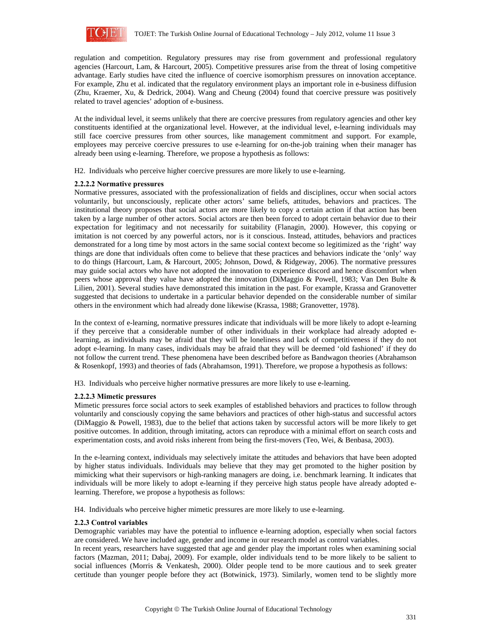

regulation and competition. Regulatory pressures may rise from government and professional regulatory agencies (Harcourt, Lam, & Harcourt, 2005). Competitive pressures arise from the threat of losing competitive advantage. Early studies have cited the influence of coercive isomorphism pressures on innovation acceptance. For example, Zhu et al. indicated that the regulatory environment plays an important role in e-business diffusion (Zhu, Kraemer, Xu, & Dedrick, 2004). Wang and Cheung (2004) found that coercive pressure was positively related to travel agencies' adoption of e-business.

At the individual level, it seems unlikely that there are coercive pressures from regulatory agencies and other key constituents identified at the organizational level. However, at the individual level, e-learning individuals may still face coercive pressures from other sources, like management commitment and support. For example, employees may perceive coercive pressures to use e-learning for on-the-job training when their manager has already been using e-learning. Therefore, we propose a hypothesis as follows:

H2. Individuals who perceive higher coercive pressures are more likely to use e-learning.

### **2.2.2.2 Normative pressures**

Normative pressures, associated with the professionalization of fields and disciplines, occur when social actors voluntarily, but unconsciously, replicate other actors' same beliefs, attitudes, behaviors and practices. The institutional theory proposes that social actors are more likely to copy a certain action if that action has been taken by a large number of other actors. Social actors are then been forced to adopt certain behavior due to their expectation for legitimacy and not necessarily for suitability (Flanagin, 2000). However, this copying or imitation is not coerced by any powerful actors, nor is it conscious. Instead, attitudes, behaviors and practices demonstrated for a long time by most actors in the same social context become so legitimized as the 'right' way things are done that individuals often come to believe that these practices and behaviors indicate the 'only' way to do things (Harcourt, Lam, & Harcourt, 2005; Johnson, Dowd, & Ridgeway, 2006). The normative pressures may guide social actors who have not adopted the innovation to experience discord and hence discomfort when peers whose approval they value have adopted the innovation (DiMaggio & Powell, 1983; Van Den Bulte & Lilien, 2001). Several studies have demonstrated this imitation in the past. For example, Krassa and Granovetter suggested that decisions to undertake in a particular behavior depended on the considerable number of similar others in the environment which had already done likewise (Krassa, 1988; Granovetter, 1978).

In the context of e-learning, normative pressures indicate that individuals will be more likely to adopt e-learning if they perceive that a considerable number of other individuals in their workplace had already adopted elearning, as individuals may be afraid that they will be loneliness and lack of competitiveness if they do not adopt e-learning. In many cases, individuals may be afraid that they will be deemed 'old fashioned' if they do not follow the current trend. These phenomena have been described before as Bandwagon theories (Abrahamson & Rosenkopf, 1993) and theories of fads (Abrahamson, 1991). Therefore, we propose a hypothesis as follows:

H3. Individuals who perceive higher normative pressures are more likely to use e-learning.

# **2.2.2.3 Mimetic pressures**

Mimetic pressures force social actors to seek examples of established behaviors and practices to follow through voluntarily and consciously copying the same behaviors and practices of other high-status and successful actors (DiMaggio & Powell, 1983), due to the belief that actions taken by successful actors will be more likely to get positive outcomes. In addition, through imitating, actors can reproduce with a minimal effort on search costs and experimentation costs, and avoid risks inherent from being the first-movers (Teo, Wei, & Benbasa, 2003).

In the e-learning context, individuals may selectively imitate the attitudes and behaviors that have been adopted by higher status individuals. Individuals may believe that they may get promoted to the higher position by mimicking what their supervisors or high-ranking managers are doing, i.e. benchmark learning. It indicates that individuals will be more likely to adopt e-learning if they perceive high status people have already adopted elearning. Therefore, we propose a hypothesis as follows:

H4. Individuals who perceive higher mimetic pressures are more likely to use e-learning.

#### **2.2.3 Control variables**

Demographic variables may have the potential to influence e-learning adoption, especially when social factors are considered. We have included age, gender and income in our research model as control variables.

In recent years, researchers have suggested that age and gender play the important roles when examining social factors (Mazman, 2011; Dabaj, 2009). For example, older individuals tend to be more likely to be salient to social influences (Morris & Venkatesh, 2000). Older people tend to be more cautious and to seek greater certitude than younger people before they act (Botwinick, 1973). Similarly, women tend to be slightly more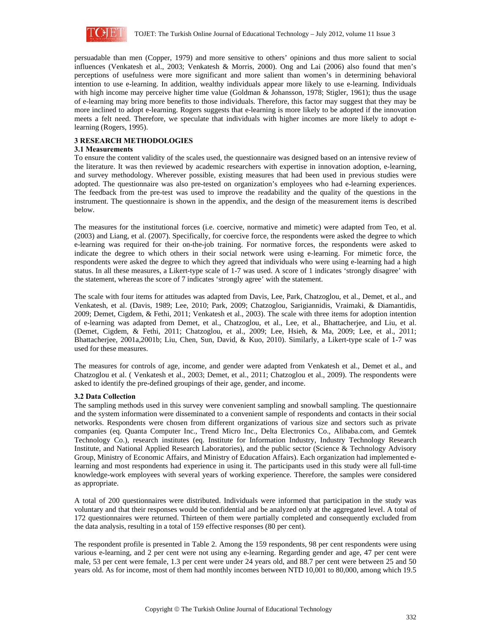

persuadable than men (Copper, 1979) and more sensitive to others' opinions and thus more salient to social influences (Venkatesh et al., 2003; Venkatesh & Morris, 2000). Ong and Lai (2006) also found that men's perceptions of usefulness were more significant and more salient than women's in determining behavioral intention to use e-learning. In addition, wealthy individuals appear more likely to use e-learning. Individuals with high income may perceive higher time value (Goldman & Johansson, 1978; Stigler, 1961); thus the usage of e-learning may bring more benefits to those individuals. Therefore, this factor may suggest that they may be more inclined to adopt e-learning. Rogers suggests that e-learning is more likely to be adopted if the innovation meets a felt need. Therefore, we speculate that individuals with higher incomes are more likely to adopt elearning (Rogers, 1995).

## **3 RESEARCH METHODOLOGIES**

#### **3.1 Measurements**

To ensure the content validity of the scales used, the questionnaire was designed based on an intensive review of the literature. It was then reviewed by academic researchers with expertise in innovation adoption, e-learning, and survey methodology. Wherever possible, existing measures that had been used in previous studies were adopted. The questionnaire was also pre-tested on organization's employees who had e-learning experiences. The feedback from the pre-test was used to improve the readability and the quality of the questions in the instrument. The questionnaire is shown in the appendix, and the design of the measurement items is described below.

The measures for the institutional forces (i.e. coercive, normative and mimetic) were adapted from Teo, et al. (2003) and Liang, et al. (2007). Specifically, for coercive force, the respondents were asked the degree to which e-learning was required for their on-the-job training. For normative forces, the respondents were asked to indicate the degree to which others in their social network were using e-learning. For mimetic force, the respondents were asked the degree to which they agreed that individuals who were using e-learning had a high status. In all these measures, a Likert-type scale of 1-7 was used. A score of 1 indicates 'strongly disagree' with the statement, whereas the score of 7 indicates 'strongly agree' with the statement.

The scale with four items for attitudes was adapted from Davis, Lee, Park, Chatzoglou, et al., Demet, et al., and Venkatesh, et al. (Davis, 1989; Lee, 2010; Park, 2009; Chatzoglou, Sarigiannidis, Vraimaki, & Diamantidis, 2009; Demet, Cigdem, & Fethi, 2011; Venkatesh et al., 2003). The scale with three items for adoption intention of e-learning was adapted from Demet, et al., Chatzoglou, et al., Lee, et al., Bhattacherjee, and Liu, et al. (Demet, Cigdem, & Fethi, 2011; Chatzoglou, et al., 2009; Lee, Hsieh, & Ma, 2009; Lee, et al., 2011; Bhattacherjee, 2001a,2001b; Liu, Chen, Sun, David, & Kuo, 2010). Similarly, a Likert-type scale of 1-7 was used for these measures.

The measures for controls of age, income, and gender were adapted from Venkatesh et al., Demet et al., and Chatzoglou et al. ( Venkatesh et al., 2003; Demet, et al., 2011; Chatzoglou et al., 2009). The respondents were asked to identify the pre-defined groupings of their age, gender, and income.

#### **3.2 Data Collection**

The sampling methods used in this survey were convenient sampling and snowball sampling. The questionnaire and the system information were disseminated to a convenient sample of respondents and contacts in their social networks. Respondents were chosen from different organizations of various size and sectors such as private companies (eq. Quanta Computer Inc., Trend Micro Inc., Delta Electronics Co., Alibaba.com, and Gemtek Technology Co.), research institutes (eq. Institute for Information Industry, Industry Technology Research Institute, and National Applied Research Laboratories), and the public sector (Science & Technology Advisory Group, Ministry of Economic Affairs, and Ministry of Education Affairs). Each organization had implemented elearning and most respondents had experience in using it. The participants used in this study were all full-time knowledge-work employees with several years of working experience. Therefore, the samples were considered as appropriate.

A total of 200 questionnaires were distributed. Individuals were informed that participation in the study was voluntary and that their responses would be confidential and be analyzed only at the aggregated level. A total of 172 questionnaires were returned. Thirteen of them were partially completed and consequently excluded from the data analysis, resulting in a total of 159 effective responses (80 per cent).

The respondent profile is presented in Table 2. Among the 159 respondents, 98 per cent respondents were using various e-learning, and 2 per cent were not using any e-learning. Regarding gender and age, 47 per cent were male, 53 per cent were female, 1.3 per cent were under 24 years old, and 88.7 per cent were between 25 and 50 years old. As for income, most of them had monthly incomes between NTD 10,001 to 80,000, among which 19.5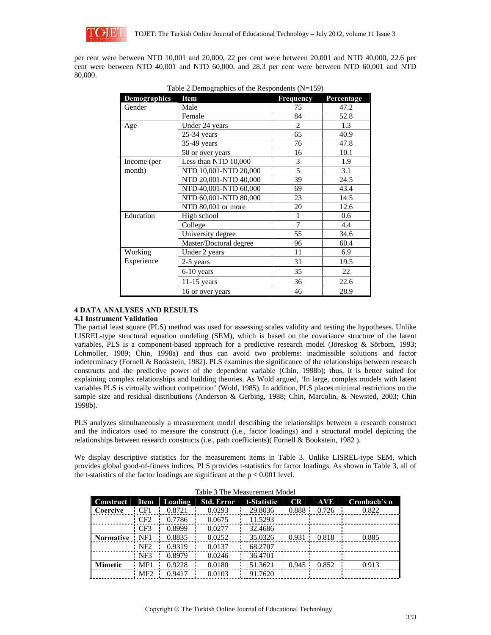

per cent were between NTD 10,001 and 20,000, 22 per cent were between 20,001 and NTD 40,000, 22.6 per cent were between NTD 40,001 and NTD 60,000, and 28.3 per cent were between NTD 60,001 and NTD 80,000.

| <b>Demographics</b> | Item                   | <b>Frequency</b> | Percentage |
|---------------------|------------------------|------------------|------------|
| Gender              | Male                   | 75               | 47.2       |
|                     | Female                 | 84               | 52.8       |
| Age                 | Under 24 years         | $\overline{2}$   | 1.3        |
|                     | $25-34$ years          | 65               | 40.9       |
|                     | 35-49 years            | 76               | 47.8       |
|                     | 50 or over years       | 16               | 10.1       |
| Income (per         | Less than NTD 10,000   | 3                | 1.9        |
| month)              | NTD 10,001-NTD 20,000  | 5                | 3.1        |
|                     | NTD 20,001-NTD 40,000  | 39               | 24.5       |
|                     | NTD 40,001-NTD 60,000  | 69               | 43.4       |
|                     | NTD 60,001-NTD 80,000  | 23               | 14.5       |
|                     | NTD 80,001 or more     | 20               | 12.6       |
| Education           | High school            | 1                | 0.6        |
|                     | College                | $\overline{7}$   | 4.4        |
|                     | University degree      | 55               | 34.6       |
|                     | Master/Doctoral degree | 96               | 60.4       |
| Working             | Under 2 years          | 11               | 6.9        |
| Experience          | 2-5 years              | 31               | 19.5       |
|                     | 6-10 years             | 35               | 22         |
|                     | $11-15$ years          | 36               | 22.6       |
|                     | 16 or over years       | 46               | 28.9       |

| Table 2 Demographics of the Respondents $(N=159)$ |  |  |
|---------------------------------------------------|--|--|
|                                                   |  |  |

# **4 DATA ANALYSES AND RESULTS**

# **4.1 Instrument Validation**

The partial least square (PLS) method was used for assessing scales validity and testing the hypotheses. Unlike LISREL-type structural equation modeling (SEM), which is based on the covariance structure of the latent variables, PLS is a component-based approach for a predictive research model (Jöreskog & Sörbom, 1993; Lohmoller, 1989; Chin, 1998a) and thus can avoid two problems: inadmissible solutions and factor indeterminacy (Fornell & Bookstein, 1982). PLS examines the significance of the relationships between research constructs and the predictive power of the dependent variable (Chin, 1998b); thus, it is better suited for explaining complex relationships and building theories. As Wold argued, 'In large, complex models with latent variables PLS is virtually without competition' (Wold, 1985). In addition, PLS places minimal restrictions on the sample size and residual distributions (Anderson & Gerbing, 1988; Chin, Marcolin, & Newsted, 2003; Chin 1998b).

PLS analyzes simultaneously a measurement model describing the relationships between a research construct and the indicators used to measure the construct (i.e., factor loadings) and a structural model depicting the relationships between research constructs (i.e., path coefficients)( Fornell & Bookstein, 1982 ).

We display descriptive statistics for the measurement items in Table 3. Unlike LISREL-type SEM, which provides global good-of-fitness indices, PLS provides t-statistics for factor loadings. As shown in Table 3, all of the t-statistics of the factor loadings are significant at the  $p < 0.001$  level.

| <b>Construct</b> | <b>Item</b>     | Loading | <b>Std. Error</b> | t-Statistic | CR    | <b>AVE</b> | Cronbach's $\alpha$ |  |
|------------------|-----------------|---------|-------------------|-------------|-------|------------|---------------------|--|
| Coercive         | CF1             | 0.8721  | 0.0293            | 29.8036     | 0.888 | 0.726      | 0.822               |  |
|                  | CF <sub>2</sub> | 0.7786  | 0.0675            | 11.5293     |       |            |                     |  |
|                  | CF3             | 0.8999  | 0.0277            | 32.4686     |       |            |                     |  |
| <b>Normative</b> | NF1             | 0.8835  | 0.0252            | 35.0326     | 0.931 | 0.818      | 0.885               |  |
|                  | NF <sub>2</sub> | 0.9319  | 0.0137            | 68.2707     |       |            |                     |  |
|                  | NF3             | 0.8979  | 0.0246            | 36.4701     |       |            |                     |  |
| <b>Mimetic</b>   | MF1             | 0.9228  | 0.0180            | 51.3621     | 0.945 | 0.852      | 0.913               |  |
|                  | MF <sub>2</sub> | 0.9417  | 0.0103            | 91.7620     |       |            |                     |  |

|  |  |  | Table 3 The Measurement Model |  |
|--|--|--|-------------------------------|--|
|--|--|--|-------------------------------|--|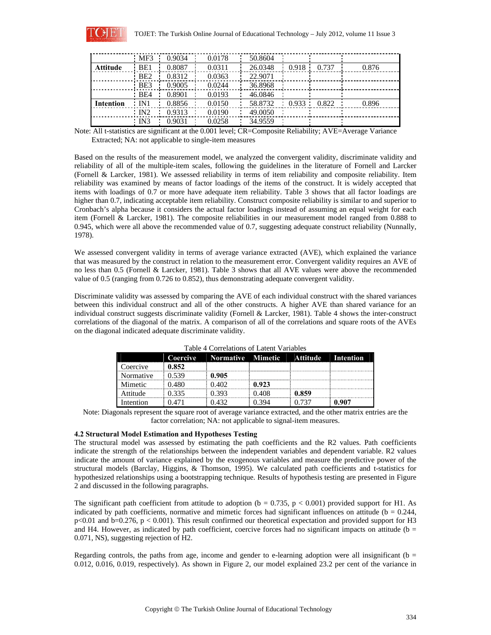

|                  | MF3             | 0.9034 | 0.0178 | 50.8604 |       |       |       |
|------------------|-----------------|--------|--------|---------|-------|-------|-------|
| <b>Attitude</b>  | BE1             | 0.8087 | 0.0311 | 26.0348 | 0.918 | 0.737 | 0.876 |
|                  | BE2             | 0.8312 | 0.0363 | 22.9071 |       |       |       |
|                  | BE3             | 0.9005 | 0.0244 | 36.8968 |       |       |       |
|                  | B <sub>E4</sub> | 0.8901 | 0.0193 | 46.0846 |       |       |       |
| <b>Intention</b> | IN 1            | 0.8856 | 0.0150 | 58.8732 | 0.933 | 0.822 | 0.896 |
|                  | IN2             | 0.9313 | 0.0190 | 49.0050 |       |       |       |
|                  | IN3             | 0.9031 | 0.0258 | 34.9559 |       |       |       |

Note: All t-statistics are significant at the 0.001 level; CR=Composite Reliability; AVE=Average Variance Extracted; NA: not applicable to single-item measures

Based on the results of the measurement model, we analyzed the convergent validity, discriminate validity and reliability of all of the multiple-item scales, following the guidelines in the literature of Fornell and Larcker (Fornell & Larcker, 1981). We assessed reliability in terms of item reliability and composite reliability. Item reliability was examined by means of factor loadings of the items of the construct. It is widely accepted that items with loadings of 0.7 or more have adequate item reliability. Table 3 shows that all factor loadings are higher than 0.7, indicating acceptable item reliability. Construct composite reliability is similar to and superior to Cronbach's alpha because it considers the actual factor loadings instead of assuming an equal weight for each item (Fornell & Larcker, 1981). The composite reliabilities in our measurement model ranged from 0.888 to 0.945, which were all above the recommended value of 0.7, suggesting adequate construct reliability (Nunnally, 1978).

We assessed convergent validity in terms of average variance extracted (AVE), which explained the variance that was measured by the construct in relation to the measurement error. Convergent validity requires an AVE of no less than 0.5 (Fornell & Larcker, 1981). Table 3 shows that all AVE values were above the recommended value of 0.5 (ranging from 0.726 to 0.852), thus demonstrating adequate convergent validity.

Discriminate validity was assessed by comparing the AVE of each individual construct with the shared variances between this individual construct and all of the other constructs. A higher AVE than shared variance for an individual construct suggests discriminate validity (Fornell & Larcker, 1981). Table 4 shows the inter-construct correlations of the diagonal of the matrix. A comparison of all of the correlations and square roots of the AVEs on the diagonal indicated adequate discriminate validity.

|           | Coercive | <b>Normative Mimetic</b> |       | Attitude | Intention |  |  |  |
|-----------|----------|--------------------------|-------|----------|-----------|--|--|--|
| Coercive  | 0.852    |                          |       |          |           |  |  |  |
| Normative | 0.539    | 0.905                    |       |          |           |  |  |  |
| Mimetic   | 0.480    | 0.402                    | 0.923 |          |           |  |  |  |
| Attitude  | 0.335    | 0.393                    | 0.408 | : 0.859  |           |  |  |  |
| Intention | ገ 471    | 0.432                    | 0.394 | 0.737    | 0.907     |  |  |  |

Table 4 Correlations of Latent Variables

Note: Diagonals represent the square root of average variance extracted, and the other matrix entries are the factor correlation; NA: not applicable to signal-item measures.

#### **4.2 Structural Model Estimation and Hypotheses Testing**

The structural model was assessed by estimating the path coefficients and the R2 values. Path coefficients indicate the strength of the relationships between the independent variables and dependent variable. R2 values indicate the amount of variance explained by the exogenous variables and measure the predictive power of the structural models (Barclay, Higgins, & Thomson, 1995). We calculated path coefficients and t-statistics for hypothesized relationships using a bootstrapping technique. Results of hypothesis testing are presented in Figure 2 and discussed in the following paragraphs.

The significant path coefficient from attitude to adoption ( $b = 0.735$ ,  $p < 0.001$ ) provided support for H1. As indicated by path coefficients, normative and mimetic forces had significant influences on attitude ( $b = 0.244$ , p<0.01 and b=0.276, p < 0.001). This result confirmed our theoretical expectation and provided support for H3 and H4. However, as indicated by path coefficient, coercive forces had no significant impacts on attitude ( $b =$ 0.071, NS), suggesting rejection of H2.

Regarding controls, the paths from age, income and gender to e-learning adoption were all insignificant ( $b =$ 0.012, 0.016, 0.019, respectively). As shown in Figure 2, our model explained 23.2 per cent of the variance in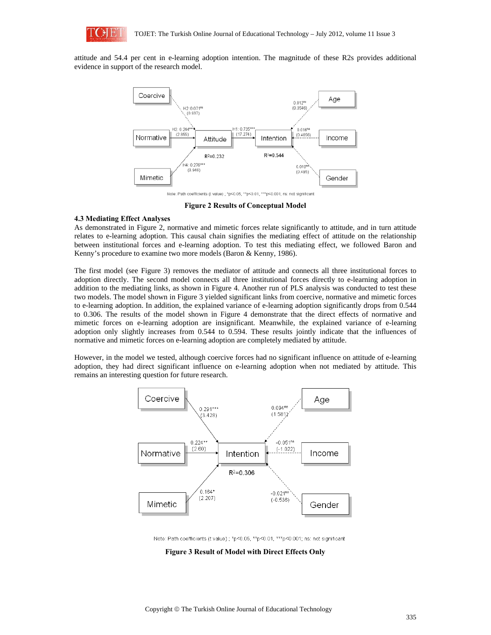

attitude and 54.4 per cent in e-learning adoption intention. The magnitude of these R2s provides additional evidence in support of the research model.



Note: Path coefficients (t value) : \*p<0.05. \*\*p<0.01. \*\*\*p<0.001: ns: not significant

**Figure 2 Results of Conceptual Model** 

# **4.3 Mediating Effect Analyses**

As demonstrated in Figure 2, normative and mimetic forces relate significantly to attitude, and in turn attitude relates to e-learning adoption. This causal chain signifies the mediating effect of attitude on the relationship between institutional forces and e-learning adoption. To test this mediating effect, we followed Baron and Kenny's procedure to examine two more models (Baron & Kenny, 1986).

The first model (see Figure 3) removes the mediator of attitude and connects all three institutional forces to adoption directly. The second model connects all three institutional forces directly to e-learning adoption in addition to the mediating links, as shown in Figure 4. Another run of PLS analysis was conducted to test these two models. The model shown in Figure 3 yielded significant links from coercive, normative and mimetic forces to e-learning adoption. In addition, the explained variance of e-learning adoption significantly drops from 0.544 to 0.306. The results of the model shown in Figure 4 demonstrate that the direct effects of normative and mimetic forces on e-learning adoption are insignificant. Meanwhile, the explained variance of e-learning adoption only slightly increases from 0.544 to 0.594. These results jointly indicate that the influences of normative and mimetic forces on e-learning adoption are completely mediated by attitude.

However, in the model we tested, although coercive forces had no significant influence on attitude of e-learning adoption, they had direct significant influence on e-learning adoption when not mediated by attitude. This remains an interesting question for future research.



Note: Path coefficients (t value) ; \*p<0.05, \*\*p<0.01, \*\*\*p<0.001; ns: not significant

**Figure 3 Result of Model with Direct Effects Only**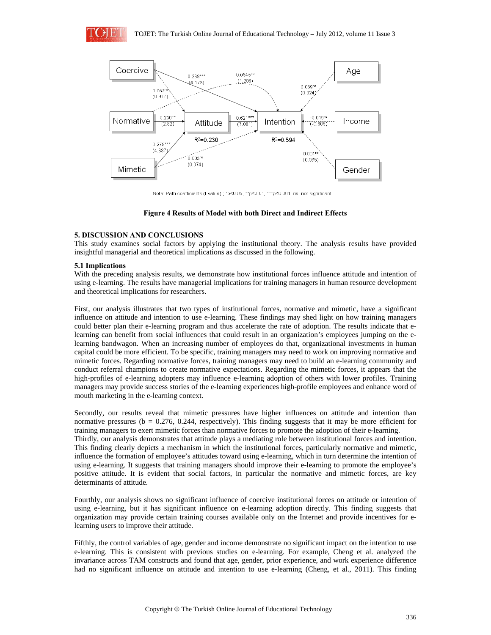



Note: Path coefficients (t value) ; \*p<0.05, \*\*p<0.01, \*\*\*p<0.001; ns: not significant

### **Figure 4 Results of Model with both Direct and Indirect Effects**

# **5. DISCUSSION AND CONCLUSIONS**

This study examines social factors by applying the institutional theory. The analysis results have provided insightful managerial and theoretical implications as discussed in the following.

### **5.1 Implications**

With the preceding analysis results, we demonstrate how institutional forces influence attitude and intention of using e-learning. The results have managerial implications for training managers in human resource development and theoretical implications for researchers.

First, our analysis illustrates that two types of institutional forces, normative and mimetic, have a significant influence on attitude and intention to use e-learning. These findings may shed light on how training managers could better plan their e-learning program and thus accelerate the rate of adoption. The results indicate that elearning can benefit from social influences that could result in an organization's employees jumping on the elearning bandwagon. When an increasing number of employees do that, organizational investments in human capital could be more efficient. To be specific, training managers may need to work on improving normative and mimetic forces. Regarding normative forces, training managers may need to build an e-learning community and conduct referral champions to create normative expectations. Regarding the mimetic forces, it appears that the high-profiles of e-learning adopters may influence e-learning adoption of others with lower profiles. Training managers may provide success stories of the e-learning experiences high-profile employees and enhance word of mouth marketing in the e-learning context.

Secondly, our results reveal that mimetic pressures have higher influences on attitude and intention than normative pressures ( $b = 0.276, 0.244$ , respectively). This finding suggests that it may be more efficient for training managers to exert mimetic forces than normative forces to promote the adoption of their e-learning. Thirdly, our analysis demonstrates that attitude plays a mediating role between institutional forces and intention. This finding clearly depicts a mechanism in which the institutional forces, particularly normative and mimetic, influence the formation of employee's attitudes toward using e-learning, which in turn determine the intention of using e-learning. It suggests that training managers should improve their e-learning to promote the employee's positive attitude. It is evident that social factors, in particular the normative and mimetic forces, are key determinants of attitude.

Fourthly, our analysis shows no significant influence of coercive institutional forces on attitude or intention of using e-learning, but it has significant influence on e-learning adoption directly. This finding suggests that organization may provide certain training courses available only on the Internet and provide incentives for elearning users to improve their attitude.

Fifthly, the control variables of age, gender and income demonstrate no significant impact on the intention to use e-learning. This is consistent with previous studies on e-learning. For example, Cheng et al. analyzed the invariance across TAM constructs and found that age, gender, prior experience, and work experience difference had no significant influence on attitude and intention to use e-learning (Cheng, et al., 2011). This finding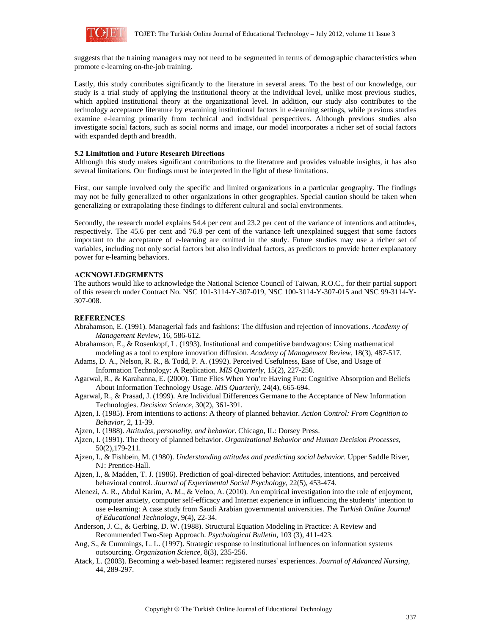

suggests that the training managers may not need to be segmented in terms of demographic characteristics when promote e-learning on-the-job training.

Lastly, this study contributes significantly to the literature in several areas. To the best of our knowledge, our study is a trial study of applying the institutional theory at the individual level, unlike most previous studies, which applied institutional theory at the organizational level. In addition, our study also contributes to the technology acceptance literature by examining institutional factors in e-learning settings, while previous studies examine e-learning primarily from technical and individual perspectives. Although previous studies also investigate social factors, such as social norms and image, our model incorporates a richer set of social factors with expanded depth and breadth.

#### **5.2 Limitation and Future Research Directions**

Although this study makes significant contributions to the literature and provides valuable insights, it has also several limitations. Our findings must be interpreted in the light of these limitations.

First, our sample involved only the specific and limited organizations in a particular geography. The findings may not be fully generalized to other organizations in other geographies. Special caution should be taken when generalizing or extrapolating these findings to different cultural and social environments.

Secondly, the research model explains 54.4 per cent and 23.2 per cent of the variance of intentions and attitudes, respectively. The 45.6 per cent and 76.8 per cent of the variance left unexplained suggest that some factors important to the acceptance of e-learning are omitted in the study. Future studies may use a richer set of variables, including not only social factors but also individual factors, as predictors to provide better explanatory power for e-learning behaviors.

### **ACKNOWLEDGEMENTS**

The authors would like to acknowledge the National Science Council of Taiwan, R.O.C., for their partial support of this research under Contract No. NSC 101-3114-Y-307-019, NSC 100-3114-Y-307-015 and NSC 99-3114-Y-307-008.

#### **REFERENCES**

- Abrahamson, E. (1991). Managerial fads and fashions: The diffusion and rejection of innovations. *Academy of Management Review*, 16, 586-612.
- Abrahamson, E., & Rosenkopf, L. (1993). Institutional and competitive bandwagons: Using mathematical modeling as a tool to explore innovation diffusion. *Academy of Management Review*, 18(3), 487-517.
- Adams, D. A., Nelson, R. R., & Todd, P. A. (1992). Perceived Usefulness, Ease of Use, and Usage of Information Technology: A Replication. *MIS Quarterly*, 15(2), 227-250.
- Agarwal, R., & Karahanna, E. (2000). Time Flies When You're Having Fun: Cognitive Absorption and Beliefs About Information Technology Usage. *MIS Quarterly,* 24(4), 665-694.
- Agarwal, R., & Prasad, J. (1999). Are Individual Differences Germane to the Acceptance of New Information Technologies. *Decision Science*, 30(2), 361-391.
- Ajzen, I. (1985). From intentions to actions: A theory of planned behavior. *Action Control: From Cognition to Behavior*, 2, 11-39.
- Ajzen, I. (1988). *Attitudes, personality, and behavior*. Chicago, IL: Dorsey Press.
- Ajzen, I. (1991). The theory of planned behavior. *Organizational Behavior and Human Decision Processes*, 50(2),179-211.
- Ajzen, I., & Fishbein, M. (1980). *Understanding attitudes and predicting social behavior*. Upper Saddle River, NJ: Prentice-Hall.
- Ajzen, I., & Madden, T. J. (1986). Prediction of goal-directed behavior: Attitudes, intentions, and perceived behavioral control. *Journal of Experimental Social Psychology*, 22(5), 453-474.
- Alenezi, A. R., Abdul Karim, A. M., & Veloo, A. (2010). An empirical investigation into the role of enjoyment, computer anxiety, computer self-efficacy and Internet experience in influencing the students' intention to use e-learning: A case study from Saudi Arabian governmental universities. *The Turkish Online Journal of Educational Technology,* 9(4), 22-34.
- Anderson, J. C., & Gerbing, D. W. (1988). Structural Equation Modeling in Practice: A Review and Recommended Two-Step Approach. *Psychological Bulletin*, 103 (3), 411-423.
- Ang, S., & Cummings, L. L. (1997). Strategic response to institutional influences on information systems outsourcing. *Organization Science*, 8(3), 235-256.
- Atack, L. (2003). Becoming a web-based learner: registered nurses' experiences. *Journal of Advanced Nursing*, 44, 289-297.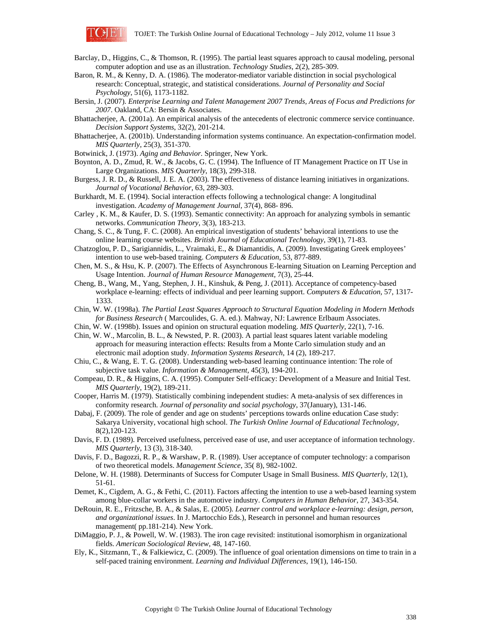

- Barclay, D., Higgins, C., & Thomson, R. (1995). The partial least squares approach to causal modeling, personal computer adoption and use as an illustration. *Technology Studies*, 2(2), 285-309.
- Baron, R. M., & Kenny, D. A. (1986). The moderator-mediator variable distinction in social psychological research: Conceptual, strategic, and statistical considerations. *Journal of Personality and Social Psychology*, 51(6), 1173-1182.
- Bersin, J. (2007). *Enterprise Learning and Talent Management 2007 Trends, Areas of Focus and Predictions for 2007*. Oakland, CA: Bersin & Associates.
- Bhattacherjee, A. (2001a). An empirical analysis of the antecedents of electronic commerce service continuance. *Decision Support Systems*, 32(2), 201-214.
- Bhattacherjee, A. (2001b). Understanding information systems continuance. An expectation-confirmation model. *MIS Quarterly*, 25(3), 351-370.
- Botwinick, J. (1973). *Aging and Behavior.* Springer, New York.
- Boynton, A. D., Zmud, R. W., & Jacobs, G. C. (1994). The Influence of IT Management Practice on IT Use in Large Organizations. *MIS Quarterly*, 18(3), 299-318.
- Burgess, J. R. D., & Russell, J. E. A. (2003). The effectiveness of distance learning initiatives in organizations. *Journal of Vocational Behavior*, 63, 289-303.
- Burkhardt, M. E. (1994). Social interaction effects following a technological change: A longitudinal investigation. *Academy of Management Journal,* 37(4), 868- 896.
- Carley , K. M., & Kaufer, D. S. (1993). Semantic connectivity: An approach for analyzing symbols in semantic networks. *Communication Theory*, 3(3), 183-213.
- Chang, S. C., & Tung, F. C. (2008). An empirical investigation of students' behavioral intentions to use the online learning course websites. *British Journal of Educational Technology,* 39(1), 71-83.
- Chatzoglou, P. D., Sarigiannidis, L., Vraimaki, E., & Diamantidis, A. (2009). Investigating Greek employees' intention to use web-based training. *Computers & Education*, 53, 877-889.
- Chen, M. S., & Hsu, K. P. (2007). The Effects of Asynchronous E-learning Situation on Learning Perception and Usage Intention. *Journal of Human Resource Management,* 7(3), 25-44.
- Cheng, B., Wang, M., Yang, Stephen, J. H., Kinshuk, & Peng, J. (2011). Acceptance of competency-based workplace e-learning: effects of individual and peer learning support. *Computers & Education,* 57, 1317- 1333.
- Chin, W. W. (1998a). *The Partial Least Squares Approach to Structural Equation Modeling in Modern Methods for Business Research* ( Marcoulides, G. A. ed.). Mahway, NJ: Lawrence Erlbaum Associates.
- Chin, W. W. (1998b). Issues and opinion on structural equation modeling. *MIS Quarterly,* 22(1), 7-16.
- Chin, W. W., Marcolin, B. L., & Newsted, P. R. (2003). A partial least squares latent variable modeling approach for measuring interaction effects: Results from a Monte Carlo simulation study and an electronic mail adoption study. *Information Systems Research*, 14 (2), 189-217.
- Chiu, C., & Wang, E. T. G. (2008). Understanding web-based learning continuance intention: The role of subjective task value. *Information & Management,* 45(3), 194-201.
- Compeau, D. R., & Higgins, C. A. (1995). Computer Self-efficacy: Development of a Measure and Initial Test. *MIS Quarterly*, 19(2), 189-211.
- Cooper, Harris M. (1979). Statistically combining independent studies: A meta-analysis of sex differences in conformity research. *Journal of personality and social psychology*, 37(January), 131-146.
- Dabaj, F. (2009). The role of gender and age on students' perceptions towards online education Case study: Sakarya University, vocational high school. *The Turkish Online Journal of Educational Technology,*  8(2),120-123.
- Davis, F. D. (1989). Perceived usefulness, perceived ease of use, and user acceptance of information technology. *MIS Quarterly,* 13 (3), 318-340.
- Davis, F. D., Bagozzi, R. P., & Warshaw, P. R. (1989). User acceptance of computer technology: a comparison of two theoretical models. *Management Science*, 35( 8), 982-1002.
- Delone, W. H. (1988). Determinants of Success for Computer Usage in Small Business. *MIS Quarterly,* 12(1), 51-61.
- Demet, K., Cigdem, A. G., & Fethi, C. (2011). Factors affecting the intention to use a web-based learning system among blue-collar workers in the automotive industry. *Computers in Human Behavior*, 27, 343-354.
- DeRouin, R. E., Fritzsche, B. A., & Salas, E. (2005). *Learner control and workplace e-learning: design, person, and organizational issues*. In J. Martocchio Eds.), Research in personnel and human resources management( pp.181-214). New York.
- DiMaggio, P. J., & Powell, W. W. (1983). The iron cage revisited: institutional isomorphism in organizational fields. *American Sociological Review*, 48, 147-160.
- Ely, K., Sitzmann, T., & Falkiewicz, C. (2009). The influence of goal orientation dimensions on time to train in a self-paced training environment. *Learning and Individual Differences*, 19(1), 146-150.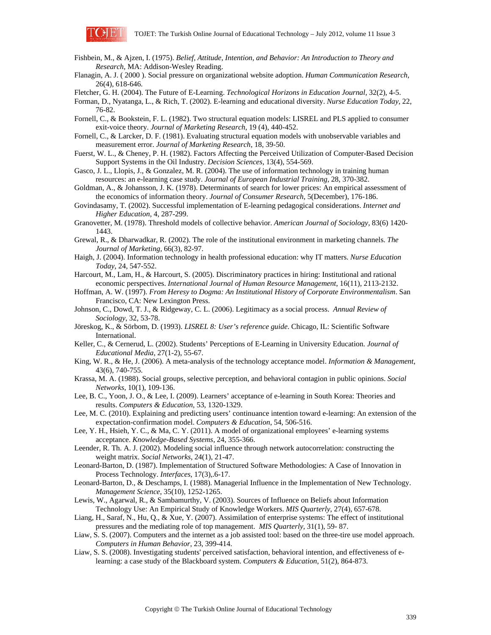

- Fishbein, M., & Ajzen, I. (1975). *Belief, Attitude, Intention, and Behavior: An Introduction to Theory and Research*, MA: Addison-Wesley Reading.
- Flanagin, A. J. ( 2000 ). Social pressure on organizational website adoption. *Human Communication Research*, 26(4), 618-646.

Fletcher, G. H. (2004). The Future of E-Learning. *Technological Horizons in Education Journal,* 32(2), 4-5.

- Forman, D., Nyatanga, L., & Rich, T. (2002). E-learning and educational diversity. *Nurse Education Today*, 22, 76-82.
- Fornell, C., & Bookstein, F. L. (1982). Two structural equation models: LISREL and PLS applied to consumer exit-voice theory. *Journal of Marketing Research*, 19 (4), 440-452.
- Fornell, C., & Larcker, D. F. (1981). Evaluating structural equation models with unobservable variables and measurement error. *Journal of Marketing Research*, 18, 39-50.
- Fuerst, W. L., & Cheney, P. H. (1982). Factors Affecting the Perceived Utilization of Computer-Based Decision Support Systems in the Oil Industry. *Decision Sciences*, 13(4), 554-569.
- Gasco, J. L., Llopis, J., & Gonzalez, M. R. (2004). The use of information technology in training human resources: an e-learning case study. *Journal of European Industrial Training,* 28, 370-382.
- Goldman, A., & Johansson, J. K. (1978). Determinants of search for lower prices: An empirical assessment of the economics of information theory. *Journal of Consumer Research*, 5(December), 176-186.
- Govindasamy, T. (2002). Successful implementation of E-learning pedagogical considerations. *Internet and Higher Education*, 4, 287-299.
- Granovetter, M. (1978). Threshold models of collective behavior. *American Journal of Sociology,* 83(6) 1420- 1443.
- Grewal, R., & Dharwadkar, R. (2002). The role of the institutional environment in marketing channels. *The Journal of Marketing,* 66(3), 82-97.
- Haigh, J. (2004). Information technology in health professional education: why IT matters. *Nurse Education Today*, 24, 547-552.

Harcourt, M., Lam, H., & Harcourt, S. (2005). Discriminatory practices in hiring: Institutional and rational economic perspectives. *International Journal of Human Resource Management*, 16(11), 2113-2132.

- Hoffman, A. W. (1997). *From Heresy to Dogma: An Institutional History of Corporate Environmentalism*. San Francisco, CA: New Lexington Press.
- Johnson, C., Dowd, T. J., & Ridgeway, C. L. (2006). Legitimacy as a social process. *Annual Review of Sociology*, 32, 53-78.
- Jöreskog, K., & Sörbom, D. (1993). *LISREL 8: User's reference guide*. Chicago, IL: Scientific Software International.
- Keller, C., & Cernerud, L. (2002). Students' Perceptions of E-Learning in University Education. *Journal of Educational Media*, 27(1-2), 55-67.
- King, W. R., & He, J. (2006). A meta-analysis of the technology acceptance model. *Information & Management*, 43(6), 740-755.
- Krassa, M. A. (1988). Social groups, selective perception, and behavioral contagion in public opinions. *Social Networks*, 10(1), 109-136.
- Lee, B. C., Yoon, J. O., & Lee, I. (2009). Learners' acceptance of e-learning in South Korea: Theories and results. *Computers & Education,* 53, 1320-1329.
- Lee, M. C. (2010). Explaining and predicting users' continuance intention toward e-learning: An extension of the expectation-confirmation model. *Computers & Education*, 54, 506-516.
- Lee, Y. H., Hsieh, Y. C., & Ma, C. Y. (2011). A model of organizational employees' e-learning systems acceptance. *Knowledge-Based Systems,* 24, 355-366.
- Leender, R. Th. A. J. (2002). Modeling social influence through network autocorrelation: constructing the weight matrix. *Social Networks*, 24(1), 21-47.
- Leonard-Barton, D. (1987). Implementation of Structured Software Methodologies: A Case of Innovation in Process Technology. *Interfaces,* 17(3),.6-17.
- Leonard-Barton, D., & Deschamps, I. (1988). Managerial Influence in the Implementation of New Technology. *Management Science*, 35(10), 1252-1265.
- Lewis, W., Agarwal, R., & Sambamurthy, V. (2003). Sources of Influence on Beliefs about Information Technology Use: An Empirical Study of Knowledge Workers. *MIS Quarterly*, 27(4), 657-678.
- Liang, H., Saraf, N., Hu, Q., & Xue, Y. (2007). Assimilation of enterprise systems: The effect of institutional pressures and the mediating role of top management. *MIS Quarterly,* 31(1), 59- 87.
- Liaw, S. S. (2007). Computers and the internet as a job assisted tool: based on the three-tire use model approach. *Computers in Human Behavior*, 23, 399-414.
- Liaw, S. S. (2008). Investigating students' perceived satisfaction, behavioral intention, and effectiveness of elearning: a case study of the Blackboard system. *Computers & Education*, 51(2), 864-873.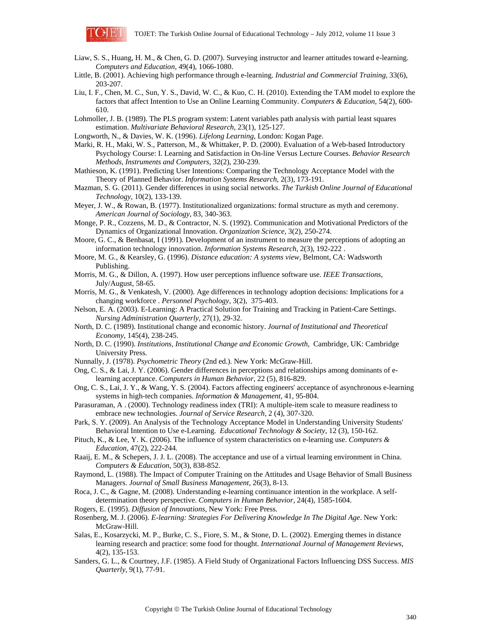

- Liaw, S. S., Huang, H. M., & Chen, G. D. (2007). Surveying instructor and learner attitudes toward e-learning. *Computers and Education*, 49(4), 1066-1080.
- Little, B. (2001). Achieving high performance through e-learning. *Industrial and Commercial Training,* 33(6), 203-207.
- Liu, I. F., Chen, M. C., Sun, Y. S., David, W. C., & Kuo, C. H. (2010). Extending the TAM model to explore the factors that affect Intention to Use an Online Learning Community. *Computers & Education,* 54(2), 600- 610.
- Lohmoller, J. B. (1989). The PLS program system: Latent variables path analysis with partial least squares estimation. *Multivariate Behavioral Research*, 23(1), 125-127.

Longworth, N., & Davies, W. K. (1996). *Lifelong Learning*, London: Kogan Page.

- Marki, R. H., Maki, W. S., Patterson, M., & Whittaker, P. D. (2000). Evaluation of a Web-based Introductory Psychology Course: I. Learning and Satisfaction in On-line Versus Lecture Courses. *Behavior Research Methods, Instruments and Computers*, 32(2), 230-239.
- Mathieson, K. (1991). Predicting User Intentions: Comparing the Technology Acceptance Model with the Theory of Planned Behavior. *Information Systems Research*, 2(3), 173-191.
- Mazman, S. G. (2011). Gender differences in using social networks. *The Turkish Online Journal of Educational Technology,* 10(2), 133-139.
- Meyer, J. W., & Rowan, B. (1977). Institutionalized organizations: formal structure as myth and ceremony. *American Journal of Sociology*, 83, 340-363.
- Monge, P. R., Cozzens, M. D., & Contractor, N. S. (1992). Communication and Motivational Predictors of the Dynamics of Organizational Innovation. *Organization Science*, 3(2), 250-274.
- Moore, G. C., & Benbasat, I (1991). Development of an instrument to measure the perceptions of adopting an information technology innovation. *Information Systems Research*, 2(3), 192-222 .
- Moore, M. G., & Kearsley, G. (1996). *Distance education: A systems view,* Belmont, CA: Wadsworth Publishing.
- Morris, M. G., & Dillon, A. (1997). How user perceptions influence software use. *IEEE Transactions*, July/August, 58-65.
- Morris, M. G., & Venkatesh, V. (2000). Age differences in technology adoption decisions: Implications for a changing workforce . *Personnel Psychology*, 3(2), 375-403.
- Nelson, E. A. (2003). E-Learning: A Practical Solution for Training and Tracking in Patient-Care Settings. *Nursing Administration Quarterly,* 27(1), 29-32.
- North, D. C. (1989). Institutional change and economic history. *Journal of Institutional and Theoretical Economy*, 145(4), 238-245.
- North, D. C. (1990). *Institutions, Institutional Change and Economic Growth,* Cambridge, UK: Cambridge University Press.
- Nunnally, J. (1978). *Psychometric Theory* (2nd ed.). New York: McGraw-Hill.
- Ong, C. S., & Lai, J. Y. (2006). Gender differences in perceptions and relationships among dominants of elearning acceptance. *Computers in Human Behavior,* 22 (5), 816-829.
- Ong, C. S., Lai, J. Y., & Wang, Y. S. (2004). Factors affecting engineers' acceptance of asynchronous e-learning systems in high-tech companies. *Information & Management,* 41, 95-804.
- Parasuraman, A . (2000). Technology readiness index (TRI): A multiple-item scale to measure readiness to embrace new technologies. *Journal of Service Research,* 2 (4), 307-320.
- Park, S. Y. (2009). An Analysis of the Technology Acceptance Model in Understanding University Students' Behavioral Intention to Use e-Learning. *Educational Technology & Society*, 12 (3), 150-162.
- Pituch, K., & Lee, Y. K. (2006). The influence of system characteristics on e-learning use. *Computers & Education*, 47(2), 222-244.
- Raaij, E. M., & Schepers, J. J. L. (2008). The acceptance and use of a virtual learning environment in China. *Computers & Education*, 50(3), 838-852.
- Raymond, L. (1988). The Impact of Computer Training on the Attitudes and Usage Behavior of Small Business Managers. *Journal of Small Business Management*, 26(3), 8-13.
- Roca, J. C., & Gagne, M. (2008). Understanding e-learning continuance intention in the workplace. A selfdetermination theory perspective. *Computers in Human Behavior*, 24(4), 1585-1604.
- Rogers, E. (1995). *Diffusion of Innovations*, New York: Free Press.
- Rosenberg, M. J. (2006). *E-learning: Strategies For Delivering Knowledge In The Digital Age*. New York: McGraw-Hill.
- Salas, E., Kosarzycki, M. P., Burke, C. S., Fiore, S. M., & Stone, D. L. (2002). Emerging themes in distance learning research and practice: some food for thought. *International Journal of Management Reviews*, 4(2), 135-153.
- Sanders, G. L., & Courtney, J.F. (1985). A Field Study of Organizational Factors Influencing DSS Success. *MIS Quarterly*, 9(1), 77-91.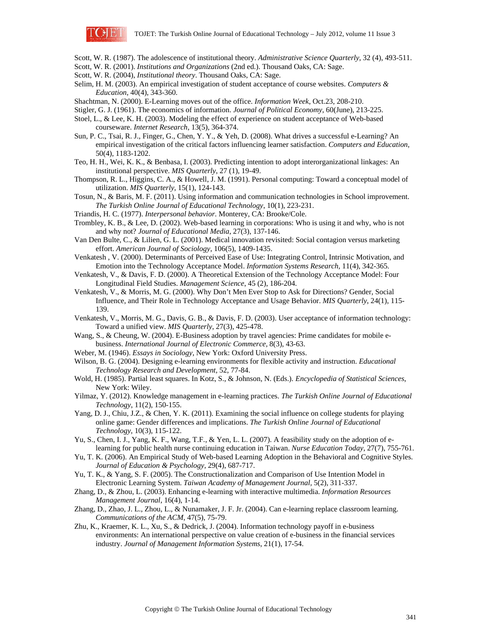

- Scott, W. R. (1987). The adolescence of institutional theory. *Administrative Science Quarterly*, 32 (4), 493-511.
- Scott, W. R. (2001). *Institutions and Organizations* (2nd ed.). Thousand Oaks, CA: Sage.
- Scott, W. R. (2004), *Institutional theory*. Thousand Oaks, CA: Sage.
- Selim, H. M. (2003). An empirical investigation of student acceptance of course websites. *Computers & Education*, 40(4), 343-360.
- Shachtman, N. (2000). E-Learning moves out of the office. *Information Week*, Oct.23, 208-210.
- Stigler, G. J. (1961). The economics of information. *Journal of Political Economy*, 60(June), 213-225.
- Stoel, L., & Lee, K. H. (2003). Modeling the effect of experience on student acceptance of Web-based courseware. *Internet Research*, 13(5), 364-374.
- Sun, P. C., Tsai, R. J., Finger, G., Chen, Y. Y., & Yeh, D. (2008). What drives a successful e-Learning? An empirical investigation of the critical factors influencing learner satisfaction. *Computers and Education*, 50(4), 1183-1202.
- Teo, H. H., Wei, K. K., & Benbasa, I. (2003). Predicting intention to adopt interorganizational linkages: An institutional perspective. *MIS Quarterly*, 27 (1), 19-49.
- Thompson, R. L., Higgins, C. A., & Howell, J. M. (1991). Personal computing: Toward a conceptual model of utilization. *MIS Quarterly*, 15(1), 124-143.
- Tosun, N., & Baris, M. F. (2011). Using information and communication technologies in School improvement. *The Turkish Online Journal of Educational Technology*, 10(1), 223-231.
- Triandis, H. C. (1977). *Interpersonal behavior*. Monterey, CA: Brooke/Cole.
- Trombley, K. B., & Lee, D. (2002). Web-based learning in corporations: Who is using it and why, who is not and why not? *Journal of Educational Media*, 27(3), 137-146.
- Van Den Bulte, C., & Lilien, G. L. (2001). Medical innovation revisited: Social contagion versus marketing effort. *American Journal of Sociology*, 106(5), 1409-1435.
- Venkatesh , V. (2000). Determinants of Perceived Ease of Use: Integrating Control, Intrinsic Motivation, and Emotion into the Technology Acceptance Model. *Information Systems Research*, 11(4), 342-365.
- Venkatesh, V., & Davis, F. D. (2000). A Theoretical Extension of the Technology Acceptance Model: Four Longitudinal Field Studies. *Management Science*, 45 (2), 186-204.
- Venkatesh, V., & Morris, M. G. (2000). Why Don't Men Ever Stop to Ask for Directions? Gender, Social Influence, and Their Role in Technology Acceptance and Usage Behavior. *MIS Quarterly*, 24(1), 115- 139.
- Venkatesh, V., Morris, M. G., Davis, G. B., & Davis, F. D. (2003). User acceptance of information technology: Toward a unified view. *MIS Quarterly*, 27(3), 425-478.
- Wang, S., & Cheung, W. (2004). E-Business adoption by travel agencies: Prime candidates for mobile ebusiness. *International Journal of Electronic Commerce,* 8(3), 43-63.
- Weber, M. (1946). *Essays in Sociology*, New York: Oxford University Press.
- Wilson, B. G. (2004). Designing e-learning environments for flexible activity and instruction. *Educational Technology Research and Development,* 52, 77-84.
- Wold, H. (1985). Partial least squares. In Kotz, S., & Johnson, N. (Eds.). *Encyclopedia of Statistical Sciences*, New York: Wiley.
- Yilmaz, Y. (2012). Knowledge management in e-learning practices. *The Turkish Online Journal of Educational Technology*, 11(2), 150-155.
- Yang, D. J., Chiu, J.Z., & Chen, Y. K. (2011). Examining the social influence on college students for playing online game: Gender differences and implications. *The Turkish Online Journal of Educational Technology,* 10(3), 115-122.
- Yu, S., Chen, I. J., Yang, K. F., Wang, T.F., & Yen, L. L. (2007). A feasibility study on the adoption of elearning for public health nurse continuing education in Taiwan. *Nurse Education Today*, 27(7), 755-761.
- Yu, T. K. (2006). An Empirical Study of Web-based Learning Adoption in the Behavioral and Cognitive Styles. *Journal of Education & Psychology,* 29(4), 687-717.
- Yu, T. K., & Yang, S. F. (2005). The Constructionalization and Comparison of Use Intention Model in Electronic Learning System. *Taiwan Academy of Management Journal,* 5(2), 311-337.
- Zhang, D., & Zhou, L. (2003). Enhancing e-learning with interactive multimedia. *Information Resources Management Journal*, 16(4), 1-14.
- Zhang, D., Zhao, J. L., Zhou, L., & Nunamaker, J. F. Jr. (2004). Can e-learning replace classroom learning. *Communications of the ACM*, 47(5), 75-79.
- Zhu, K., Kraemer, K. L., Xu, S., & Dedrick, J. (2004). Information technology payoff in e-business environments: An international perspective on value creation of e-business in the financial services industry. *Journal of Management Information Systems*, 21(1), 17-54.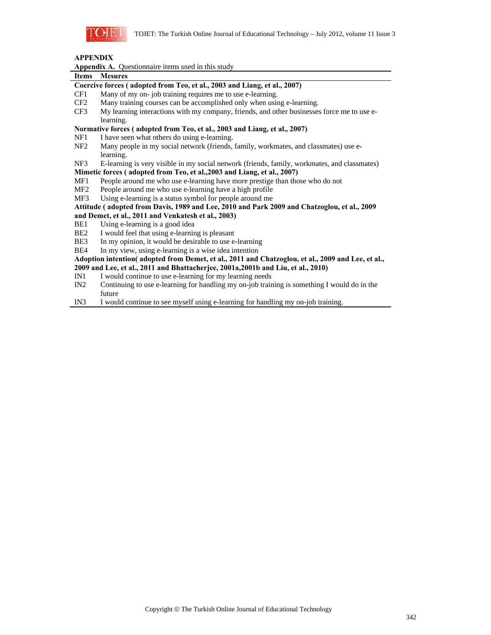

# **APPENDIX**

|  | <b>Appendix A.</b> Questionnaire items used in this study |
|--|-----------------------------------------------------------|
|--|-----------------------------------------------------------|

# **Items Mesures Coercive forces ( adopted from Teo, et al., 2003 and Liang, et al., 2007)**  CF1 Many of my on- job training requires me to use e-learning.

- CF2 Many training courses can be accomplished only when using e-learning.
- CF3 My learning interactions with my company, friends, and other businesses force me to use elearning.

# **Normative forces ( adopted from Teo, et al., 2003 and Liang, et al., 2007)**

- NF1 I have seen what others do using e-learning.
- NF2 Many people in my social network (friends, family, workmates, and classmates) use elearning.
- NF3 E-learning is very visible in my social network (friends, family, workmates, and classmates)

# **Mimetic forces ( adopted from Teo, et al.,2003 and Liang, et al., 2007)**

- MF1 People around me who use e-learning have more prestige than those who do not
- MF2 People around me who use e-learning have a high profile
- MF3 Using e-learning is a status symbol for people around me

# **Attitude ( adopted from Davis, 1989 and Lee, 2010 and Park 2009 and Chatzoglou, et al., 2009 and Demet, et al., 2011 and Venkatesh et al., 2003)**

- BE1 Using e-learning is a good idea
- BE2 I would feel that using e-learning is pleasant
- BE3 In my opinion, it would be desirable to use e-learning
- BE4 In my view, using e-learning is a wise idea intention

#### **Adoption intention( adopted from Demet, et al., 2011 and Chatzoglou, et al., 2009 and Lee, et al., 2009 and Lee, et al., 2011 and Bhattacherjee, 2001a,2001b and Liu, et al., 2010)**

- IN1 I would continue to use e-learning for my learning needs
- IN2 Continuing to use e-learning for handling my on-job training is something I would do in the future
- IN3 I would continue to see myself using e-learning for handling my on-job training.